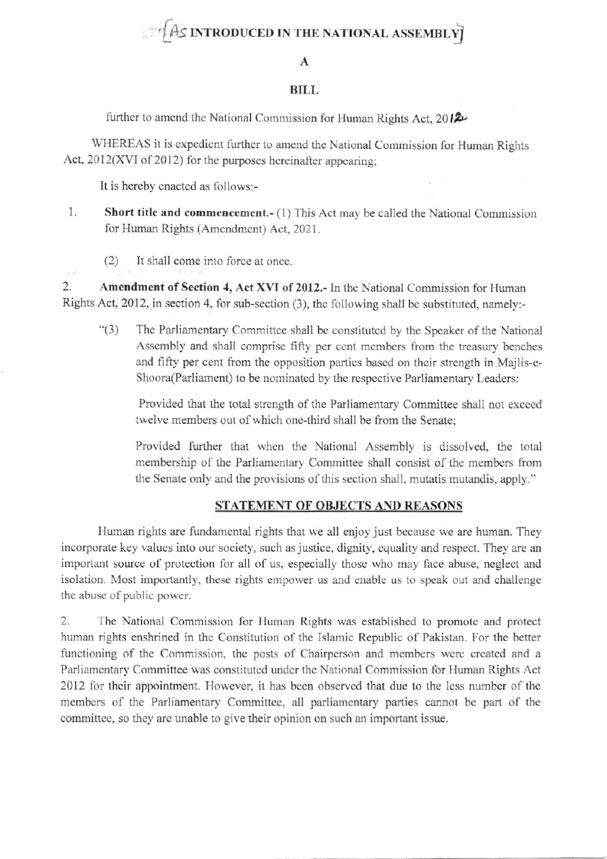# AS INTRODUCED IN THE NATIONAL ASSEMBLY

#### $\mathbf A$

#### **BILL**

further to amend the National Commission for Human Rights Act,  $2012$ 

WHEREAS it is expedient further to amend the National Commission for Human Rights Act, 2012(XVI of 2012) for the purposes hereinafter appearing:

It is hereby enacted as follows:-

zA

- 1. **Short title and commencement.-** (1) This Act may be called the National Commission for Human Rights (Amendment) Act, 2021.
	- It shall come into force at once.  $(2)$

2. Amendment of Section 4, Act XVI of 2012.- In the National Commission for Human Rights Act, 2012, in section 4, for sub-section (3), the following shall be substituted, namely:-

The Parliamentary Committee shall be constituted by the Speaker of the National  $``(3)$ Assembly and shall comprise fifty per cent members from the treasury benches and fifty per cent from the opposition parties based on their strength in Majlis-e-Shoora(Parliament) to be nominated by the respective Parliamentary Leaders:

Provided that the total strength of the Parliamentary Committee shall not exceed twelve members out of which one-third shall be from the Senate:

Provided further that when the National Assembly is dissolved, the total membership of the Parliamentary Committee shall consist of the members from the Senate only and the provisions of this section shall, mutatis mutandis, apply."

## STATEMENT OF OBJECTS AND REASONS

Human rights are fundamental rights that we all enjoy just because we are human. They incorporate key values into our society, such as justice, dignity, equality and respect. They are an important source of protection for all of us, especially those who may face abuse, neglect and isolation. Most importantly, these rights empower us and enable us to speak out and challenge the abuse of public power.

 $2.$ The National Commission for Human Rights was established to promote and protect human rights enshrined in the Constitution of the Islamic Republic of Pakistan. For the better functioning of the Commission, the posts of Chairperson and members were created and a Parliamentary Committee was constituted under the National Commission for Human Rights Act 2012 for their appointment. However, it has been observed that due to the less number of the members of the Parliamentary Committee, all parliamentary parties cannot be part of the committee, so they are unable to give their opinion on such an important issue.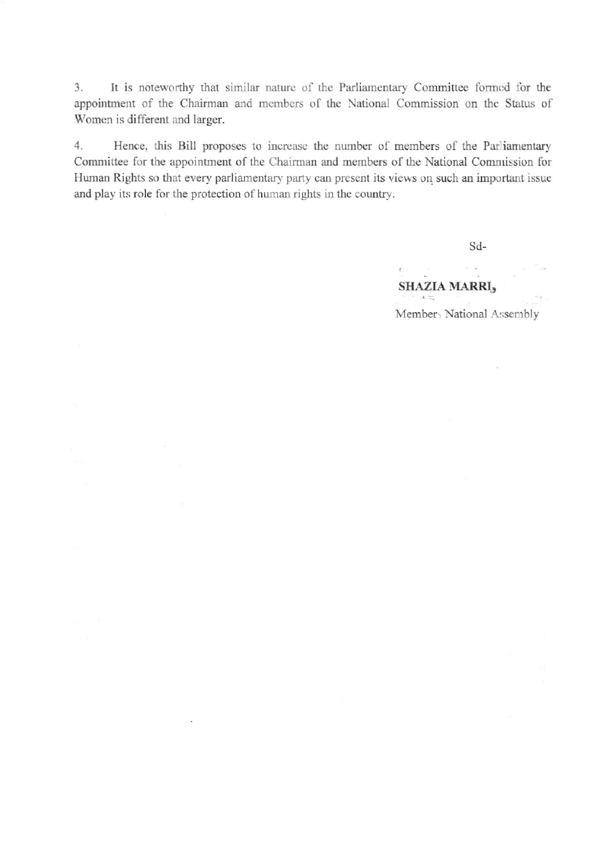3. It is noteworthy that similar nature of the Parliamentary Committee formed for the appointment of the Chairman and members of the National Commission on the Status of Women is different and larger.

 $4.$ Hence, this Bill proposes to increase the number of members of the Parliamentary Committee for the appointment of the Chairman and members of the National Commission for Human Rights so that every parliamentary party can present its views on such an important issue and play its role for the protection of human rights in the country.

渝

Sd-

 $\sim$   $\sim$ 

## $\mathbb{C}^{\times}$ **SHAZIA MARRI3**  $\mathbf{A} = \begin{bmatrix} 1 & 0 & 0 \\ 0 & 0 & 0 \\ 0 & 0 & 0 \\ 0 & 0 & 0 \\ 0 & 0 & 0 \\ 0 & 0 & 0 \\ 0 & 0 & 0 \\ 0 & 0 & 0 \\ 0 & 0 & 0 & 0 \\ 0 & 0 & 0 & 0 \\ 0 & 0 & 0 & 0 \\ 0 & 0 & 0 & 0 \\ 0 & 0 & 0 & 0 & 0 \\ 0 & 0 & 0 & 0 & 0 \\ 0 & 0 & 0 & 0 & 0 \\ 0 & 0 & 0 & 0 & 0 & 0 \\ 0 & 0 & 0 & 0 & 0 & 0 \\ 0 & 0 &$ Member<sub>></sub> National Assembly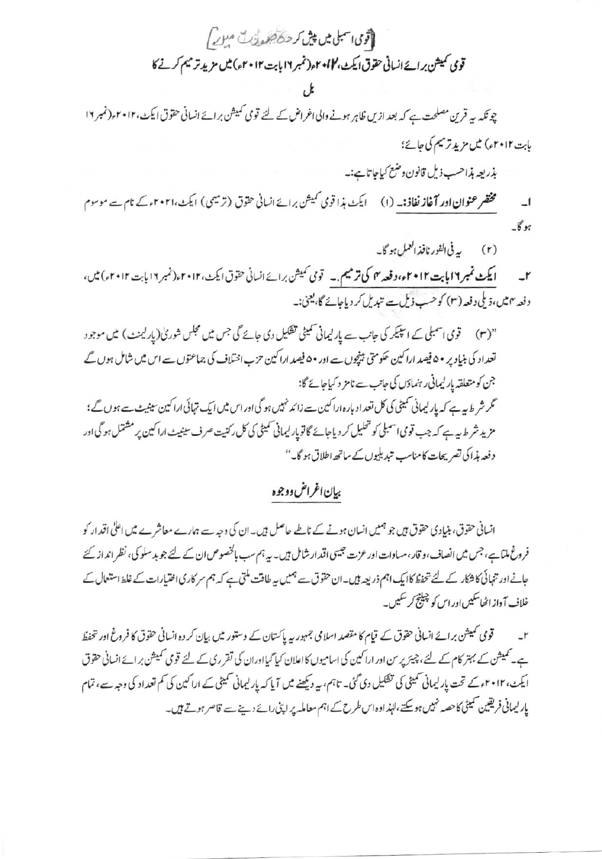اتوی اسمبلی میں پی*ش کر حکاظہ پ*ی کے مہرے *ا* قومی کمیشن بر ائے انسانی حقوق ایکٹ، کا کو ۲ مار نمبر ۱۶ بابت ۲۰۱۲ء) میں مزید تر میم کرنے کا

چونکہ یہ قرین مصلحت ہے کہ بعد ازیں ظاہر ہونے والی اغراض کے لئے قومی کمیشن برائے انسانی حقوق ایکٹ،۲۰۱۲ء(نمبر ۱۲ بابت ٢٠١٢ء) میں مزید ترمیم کی جائے؛

بذريعه بذاحسب ذيل قانون وضع كباحاتا ہے:۔

مختصر عنوان اور **آغاز نفاذ:۔** (۱) ایکٹ ہذا قومی کمیشن برائے انسانی حقوق (ترمیمی) ایکٹ،۲۰۲۱ء کے نام سے موسوم  $\overline{\phantom{0}}$ بوگا۔

> ببرفي الفور نافذ العمل ہو گا۔  $(r)$

ایکٹ نمبر ۱۲ پابت ۲۰۱۲ء، دفعہ ۴ کی ترمیم ۔ توی کمیش برائے انسانی حقوق ایکٹ، ۲۰۱۲ء (نمبر ۱۶ پابت ۲۰۱۲ء) میں،  $-r$ دفعہ مہیں،ذیلی دفعہ (۳) کوحب ذیل ہے تبدیل کر دیاجائے گا، یعنی:۔

"(۳) قومی اسمبلی کے اسپیکر کی جانب سے پارلیمانی سمیٹی تفکیل دی جائے گی جس میں مجلس شوریٰ(پارلیمنٹ) میں موجود تعداد کی بنیاد پر •۵ فیصد اراکین حکومتی بینچوں سے اور •۵ فیصد اراکین حزب اختلاف کی جماعتوں سے اس میں شامل ہوں گے جن کو متعلقہ پار لیمانی رہنماؤں کی جانب سے نامز د کیاجائے گا: گر شرط بیہ ہے کہ پارلیمانی سمیٹی کی کل تعداد بارہ اراکین سے زائد نہیں ہو گی اور اس میں ایک تہائی اراکین سینیٹ سے ہوں گے ؛ مزید شر ط ہیہ ہے کہ جب قومی اسمبلی کو تحلیل کر دیاجائے گاتویار لیمانی نمیٹی کی کل رکنیت صرف سینیٹ اراکین پر مشتمل ہو گی اور دفعہ ہذاکی تصریحات کامناسب تبدیلیوں کے ساتھ اطلاق ہو گا۔''

# بيإن اغراض ووجوه

انسانی حقوق، ہنیادی حقوق ہیں جو ہمیں انسان ہونے کے نامے حاصل ہیں۔ان کی وجہ سے ہمارے معاشرے میں اعلٰی اقدار کو فروغ ملتاہے، جس میں انصاف،و قار،مساوات اور عزت جیسی اقدار شامل ہیں۔ یہ ہم سب پالخصوص ان کے لئے جو بد سلو کی، نظر اند از کئے جانے اور تنہائی کا شکار کے لئے تحفظ کاایک اہم ذریعہ ہیں۔ان حقوق سے ہمیں یہ طاقت ملتی ہے کہ ہم سر کاری اختیارات کے غلط استعمال کے خلاف آواز اٹھاسکیں اور اس کو چیلنج کر سکیں۔

قومی کمیشن برائے انسانی حقوق کے قیام کا مقصد اسلامی جمہور پیہ پاکستان کے دستور میں بیان کر دہ انسانی حقوق کا فروغ اور تحفظ ہے۔ کمیشن کے بہتر کام کے لئے، چیئر پر من اور اراکین کی اسامیوں کا اعلان کیا گیااوران کی تقرری کے لئے قومی کمیشن برائے انسانی حقوق ایکٹ، ۲۰۱۲ء کے تحت پارلیمانی سمیٹی کی تفکیل دی گئی۔ تاہم، یہ دیکھنے میں آیا کہ پارلیمانی سمیٹی کے اراکین کی کم تعداد کی وجہ سے، تمام یار لیمانی فریقین سمیٹی کاحصہ نہیں ہوسکتے،اپنداوہ اس طرح کے اہم معاملہ پر اپنی رائے دینے سے قاصر ہوتے ہیں۔